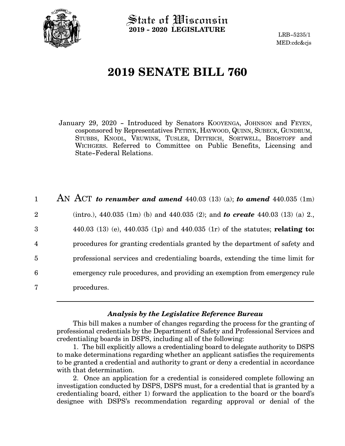

State of Wisconsin **2019 - 2020 LEGISLATURE**

LRB-5235/1 MED:cdc&cjs

# **2019 SENATE BILL 760**

January 29, 2020 - Introduced by Senators KOOYENGA, JOHNSON and FEYEN, cosponsored by Representatives PETRYK, HAYWOOD, QUINN, SUBECK, GUNDRUM, STUBBS, KNODL, VRUWINK, TUSLER, DITTRICH, SORTWELL, BROSTOFF and WICHGERS. Referred to Committee on Public Benefits, Licensing and State-Federal Relations.

| $\mathbf{1}$   | AN ACT to renumber and amend $440.03$ (13) (a); to amend $440.035$ (1m)              |
|----------------|--------------------------------------------------------------------------------------|
| $\overline{2}$ | (intro.), 440.035 (1m) (b) and 440.035 (2); and <b>to create</b> 440.03 (13) (a) 2., |
| 3              | 440.03 (13) (e), 440.035 (1p) and 440.035 (1r) of the statutes; relating to:         |
| $\overline{4}$ | procedures for granting credentials granted by the department of safety and          |
| $\overline{5}$ | professional services and credentialing boards, extending the time limit for         |
| 6              | emergency rule procedures, and providing an exemption from emergency rule            |
| 7              | procedures.                                                                          |

# *Analysis by the Legislative Reference Bureau*

This bill makes a number of changes regarding the process for the granting of professional credentials by the Department of Safety and Professional Services and credentialing boards in DSPS, including all of the following:

1. The bill explicitly allows a credentialing board to delegate authority to DSPS to make determinations regarding whether an applicant satisfies the requirements to be granted a credential and authority to grant or deny a credential in accordance with that determination.

2. Once an application for a credential is considered complete following an investigation conducted by DSPS, DSPS must, for a credential that is granted by a credentialing board, either 1) forward the application to the board or the board's designee with DSPS's recommendation regarding approval or denial of the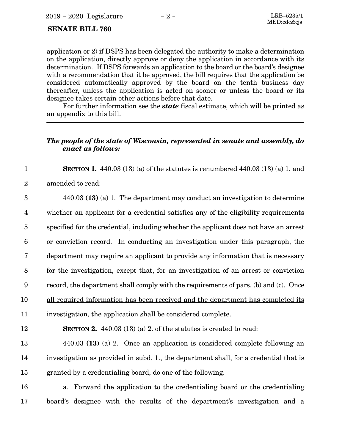## **SENATE BILL 760**

application or 2) if DSPS has been delegated the authority to make a determination on the application, directly approve or deny the application in accordance with its determination. If DSPS forwards an application to the board or the board's designee with a recommendation that it be approved, the bill requires that the application be considered automatically approved by the board on the tenth business day thereafter, unless the application is acted on sooner or unless the board or its designee takes certain other actions before that date.

For further information see the *state* fiscal estimate, which will be printed as an appendix to this bill.

# *The people of the state of Wisconsin, represented in senate and assembly, do enact as follows:*

**SECTION 1.** 440.03 (13) (a) of the statutes is renumbered 440.03 (13) (a) 1. and 1

amended to read: 2

440.03 **(13)** (a) 1. The department may conduct an investigation to determine whether an applicant for a credential satisfies any of the eligibility requirements specified for the credential, including whether the applicant does not have an arrest or conviction record. In conducting an investigation under this paragraph, the department may require an applicant to provide any information that is necessary for the investigation, except that, for an investigation of an arrest or conviction record, the department shall comply with the requirements of pars. (b) and (c). Once all required information has been received and the department has completed its investigation, the application shall be considered complete. **SECTION 2.** 440.03 (13) (a) 2. of the statutes is created to read: 440.03 **(13)** (a) 2. Once an application is considered complete following an investigation as provided in subd. 1., the department shall, for a credential that is granted by a credentialing board, do one of the following: 3 4 5 6 7 8 9 10 11 12 13 14 15

a. Forward the application to the credentialing board or the credentialing board's designee with the results of the department's investigation and a 16 17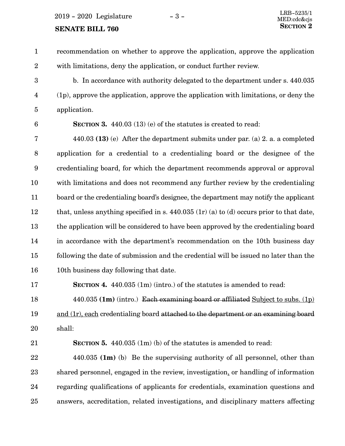#### **SENATE BILL 760**

recommendation on whether to approve the application, approve the application with limitations, deny the application, or conduct further review. 1 2

b. In accordance with authority delegated to the department under s. 440.035 (1p), approve the application, approve the application with limitations, or deny the application. 3 4 5

6

**SECTION 3.** 440.03 (13) (e) of the statutes is created to read:

440.03 **(13)** (e) After the department submits under par. (a) 2. a. a completed application for a credential to a credentialing board or the designee of the credentialing board, for which the department recommends approval or approval with limitations and does not recommend any further review by the credentialing board or the credentialing board's designee, the department may notify the applicant that, unless anything specified in s.  $440.035$  (1r) (a) to (d) occurs prior to that date, the application will be considered to have been approved by the credentialing board in accordance with the department's recommendation on the 10th business day following the date of submission and the credential will be issued no later than the 10th business day following that date. 7 8 9 10 11 12 13 14 15 16

**SECTION 4.** 440.035 (1m) (intro.) of the statutes is amended to read: 17

440.035 **(1m)** (intro.) Each examining board or affiliated Subject to subs. (1p) and (1r), each credentialing board attached to the department or an examining board shall: 18 19 20

21

**SECTION 5.** 440.035 (1m) (b) of the statutes is amended to read:

440.035 **(1m)** (b) Be the supervising authority of all personnel, other than shared personnel, engaged in the review, investigation, or handling of information regarding qualifications of applicants for credentials, examination questions and answers, accreditation, related investigations, and disciplinary matters affecting 22 23 24 25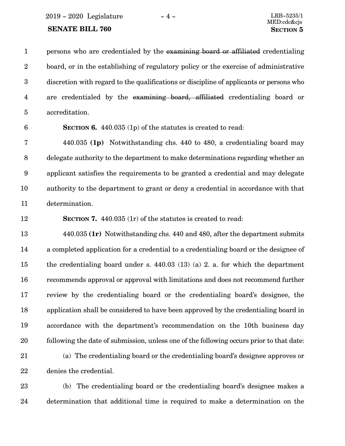2019 - 2020 Legislature - 4 - LRB-5235/1

# **SENATE BILL 760 SECTION 5**

persons who are credentialed by the examining board or affiliated credentialing board, or in the establishing of regulatory policy or the exercise of administrative discretion with regard to the qualifications or discipline of applicants or persons who are credentialed by the examining board, affiliated credentialing board or accreditation. 1 2 3 4 5

6

**SECTION 6.** 440.035 (1p) of the statutes is created to read:

440.035 **(1p)** Notwithstanding chs. 440 to 480, a credentialing board may delegate authority to the department to make determinations regarding whether an applicant satisfies the requirements to be granted a credential and may delegate authority to the department to grant or deny a credential in accordance with that determination. 7 8 9 10 11

12

**SECTION 7.** 440.035 (1r) of the statutes is created to read:

440.035 **(1r)** Notwithstanding chs. 440 and 480, after the department submits a completed application for a credential to a credentialing board or the designee of the credentialing board under s. 440.03 (13) (a) 2. a. for which the department recommends approval or approval with limitations and does not recommend further review by the credentialing board or the credentialing board's designee, the application shall be considered to have been approved by the credentialing board in accordance with the department's recommendation on the 10th business day following the date of submission, unless one of the following occurs prior to that date: (a) The credentialing board or the credentialing board's designee approves or 13 14 15 16 17 18 19 20 21

denies the credential. 22

(b) The credentialing board or the credentialing board's designee makes a determination that additional time is required to make a determination on the 23 24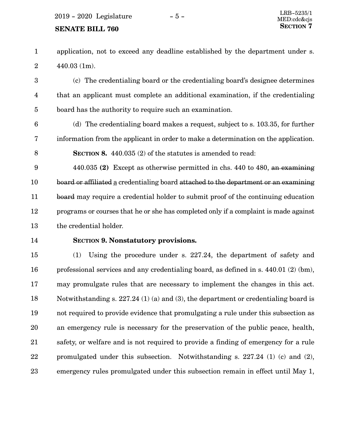#### **SENATE BILL 760**

application, not to exceed any deadline established by the department under s. 440.03 (1m). 1 2

(c) The credentialing board or the credentialing board's designee determines that an applicant must complete an additional examination, if the credentialing board has the authority to require such an examination. 3 4 5

(d) The credentialing board makes a request, subject to s. 103.35, for further information from the applicant in order to make a determination on the application. **SECTION 8.** 440.035 (2) of the statutes is amended to read: 6 7 8

440.035 **(2)** Except as otherwise permitted in chs. 440 to 480, an examining board or affiliated a credentialing board attached to the department or an examining board may require a credential holder to submit proof of the continuing education programs or courses that he or she has completed only if a complaint is made against the credential holder. 9 10 11 12 13

14

### **SECTION 9.**0**Nonstatutory provisions.**

(1) Using the procedure under s. 227.24, the department of safety and professional services and any credentialing board, as defined in s. 440.01 (2) (bm), may promulgate rules that are necessary to implement the changes in this act. Notwithstanding s. 227.24 (1) (a) and (3), the department or credentialing board is not required to provide evidence that promulgating a rule under this subsection as an emergency rule is necessary for the preservation of the public peace, health, safety, or welfare and is not required to provide a finding of emergency for a rule promulgated under this subsection. Notwithstanding s. 227.24 (1) (c) and (2), emergency rules promulgated under this subsection remain in effect until May 1, 15 16 17 18 19 20 21 22 23